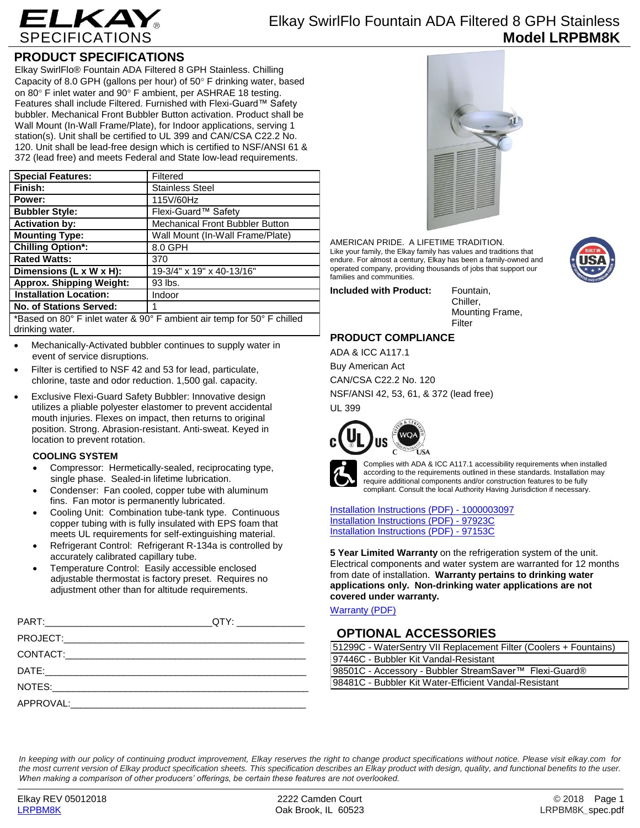

## **PRODUCT SPECIFICATIONS**

Elkay SwirlFlo® Fountain ADA Filtered 8 GPH Stainless. Chilling Capacity of 8.0 GPH (gallons per hour) of  $50^\circ$  F drinking water, based on 80 $\degree$  F inlet water and 90 $\degree$  F ambient, per ASHRAE 18 testing. Features shall include Filtered. Furnished with Flexi-Guard™ Safety bubbler. Mechanical Front Bubbler Button activation. Product shall be Wall Mount (In-Wall Frame/Plate), for Indoor applications, serving 1 station(s). Unit shall be certified to UL 399 and CAN/CSA C22.2 No. 120. Unit shall be lead-free design which is certified to NSF/ANSI 61 & 372 (lead free) and meets Federal and State low-lead requirements.

| <b>Special Features:</b>                                               | Filtered                         |  |
|------------------------------------------------------------------------|----------------------------------|--|
| Finish:                                                                | <b>Stainless Steel</b>           |  |
| Power:                                                                 | 115V/60Hz                        |  |
| <b>Bubbler Style:</b>                                                  | Flexi-Guard™ Safety              |  |
| <b>Activation by:</b>                                                  | Mechanical Front Bubbler Button  |  |
| <b>Mounting Type:</b>                                                  | Wall Mount (In-Wall Frame/Plate) |  |
| <b>Chilling Option*:</b>                                               | 8.0 GPH                          |  |
| <b>Rated Watts:</b>                                                    | 370                              |  |
| Dimensions (L x W x H):                                                | 19-3/4" x 19" x 40-13/16"        |  |
| <b>Approx. Shipping Weight:</b>                                        | 93 lbs.                          |  |
| <b>Installation Location:</b>                                          | Indoor                           |  |
| No. of Stations Served:                                                |                                  |  |
| *Based on 80° F inlet water & 90° F ambient air temp for 50° F chilled |                                  |  |

drinking water.

- Mechanically-Activated bubbler continues to supply water in event of service disruptions.
- Filter is certified to NSF 42 and 53 for lead, particulate, chlorine, taste and odor reduction. 1,500 gal. capacity.
- Exclusive Flexi-Guard Safety Bubbler: Innovative design utilizes a pliable polyester elastomer to prevent accidental mouth injuries. Flexes on impact, then returns to original position. Strong. Abrasion-resistant. Anti-sweat. Keyed in location to prevent rotation.

### **COOLING SYSTEM**

- Compressor: Hermetically-sealed, reciprocating type, single phase. Sealed-in lifetime lubrication.
- Condenser: Fan cooled, copper tube with aluminum fins. Fan motor is permanently lubricated.
- Cooling Unit: Combination tube-tank type. Continuous copper tubing with is fully insulated with EPS foam that meets UL requirements for self-extinguishing material.
- Refrigerant Control: Refrigerant R-134a is controlled by accurately calibrated capillary tube.
- Temperature Control: Easily accessible enclosed adjustable thermostat is factory preset. Requires no adjustment other than for altitude requirements.



AMERICAN PRIDE. A LIFETIME TRADITION. Like your family, the Elkay family has values and traditions that endure. For almost a century, Elkay has been a family-owned and operated company, providing thousands of jobs that support our families and communities.

**Included with Product:** Fountain,

Chiller, Mounting Frame, Filter

### **PRODUCT COMPLIANCE**

ADA & ICC A117.1 Buy American Act CAN/CSA C22.2 No. 120 NSF/ANSI 42, 53, 61, & 372 (lead free) UL 399





Complies with ADA & ICC A117.1 accessibility requirements when installed according to the requirements outlined in these standards. Installation may require additional components and/or construction features to be fully compliant. Consult the local Authority Having Jurisdiction if necessary.

[Installation Instructions \(PDF\) -](http://www.elkay.com/wcsstore/lkdocs/care-cleaning-install-warranty-sheets/1000003097.pdf) 100000309[7](http://www.elkay.com/wcsstore/lkdocs/care-cleaning-install-warranty-sheets/1000003097.pdf) [Installation Instructions \(PDF\) -](http://www.elkay.com/wcsstore/lkdocs/care-cleaning-install-warranty-sheets/97923c.pdf) 97923[C](http://www.elkay.com/wcsstore/lkdocs/care-cleaning-install-warranty-sheets/97923c.pdf) [Installation Instructions \(PDF\) -](http://www.elkay.com/wcsstore/lkdocs/care-cleaning-install-warranty-sheets/97153c.pdf) 97153[C](http://www.elkay.com/wcsstore/lkdocs/care-cleaning-install-warranty-sheets/97153c.pdf)

**5 Year Limited Warranty** on the refrigeration system of the unit. Electrical components and water system are warranted for 12 months from date of installation. **Warranty pertains to drinking water applications only. Non-drinking water applications are not covered under warranty.**

[Warranty](http://www.elkay.com/wcsstore/lkdocs/care-cleaning-install-warranty-sheets/96993c.pdf) (PDF)

# **OPTIONAL ACCESSORIES**

| 51299C - WaterSentry VII Replacement Filter (Coolers + Fountains) |  |  |
|-------------------------------------------------------------------|--|--|
| 97446C - Bubbler Kit Vandal-Resistant                             |  |  |
| 98501C - Accessory - Bubbler StreamSaver™ Flexi-Guard®            |  |  |
| 98481C - Bubbler Kit Water-Efficient Vandal-Resistant             |  |  |

*In keeping with our policy of continuing product improvement, Elkay reserves the right to change product specifications without notice. Please visit elkay.com for the most current version of Elkay product specification sheets. This specification describes an Elkay product with design, quality, and functional benefits to the user. When making a comparison of other producers' offerings, be certain these features are not overlooked.*

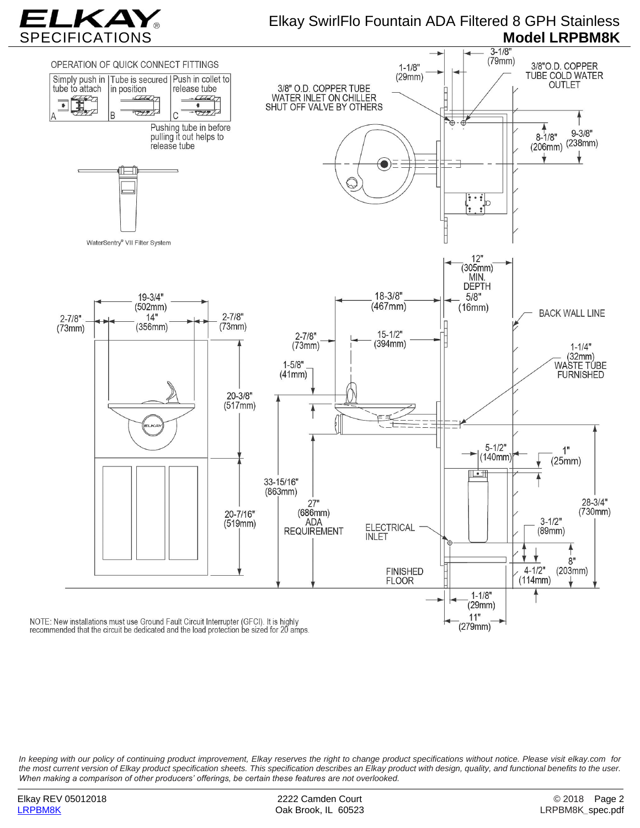

# Elkay SwirlFlo Fountain ADA Filtered 8 GPH Stainless



*In keeping with our policy of continuing product improvement, Elkay reserves the right to change product specifications without notice. Please visit elkay.com for the most current version of Elkay product specification sheets. This specification describes an Elkay product with design, quality, and functional benefits to the user. When making a comparison of other producers' offerings, be certain these features are not overlooked.*

Oak Brook, IL 60523